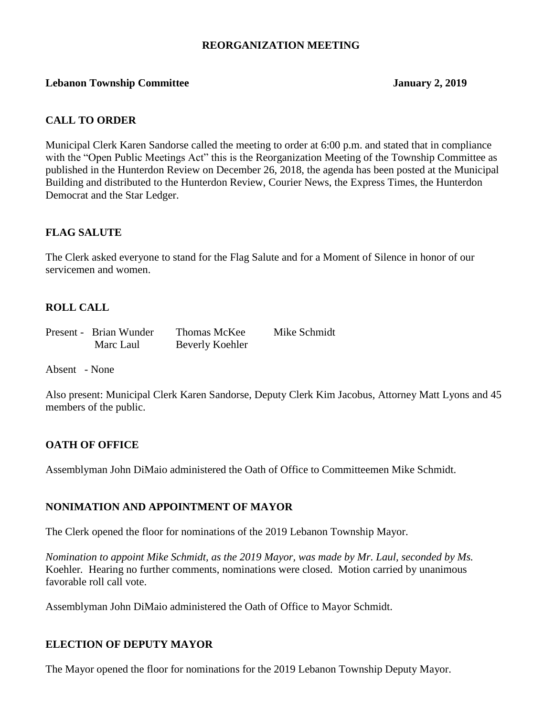#### **REORGANIZATION MEETING**

#### **Lebanon Township Committee January 2, 2019**

#### **CALL TO ORDER**

Municipal Clerk Karen Sandorse called the meeting to order at 6:00 p.m. and stated that in compliance with the "Open Public Meetings Act" this is the Reorganization Meeting of the Township Committee as published in the Hunterdon Review on December 26, 2018, the agenda has been posted at the Municipal Building and distributed to the Hunterdon Review, Courier News, the Express Times, the Hunterdon Democrat and the Star Ledger.

#### **FLAG SALUTE**

The Clerk asked everyone to stand for the Flag Salute and for a Moment of Silence in honor of our servicemen and women.

## **ROLL CALL**

| Present - Brian Wunder | Thomas McKee    | Mike Schmidt |
|------------------------|-----------------|--------------|
| Marc Laul              | Beverly Koehler |              |

Absent - None

Also present: Municipal Clerk Karen Sandorse, Deputy Clerk Kim Jacobus, Attorney Matt Lyons and 45 members of the public.

#### **OATH OF OFFICE**

Assemblyman John DiMaio administered the Oath of Office to Committeemen Mike Schmidt.

#### **NONIMATION AND APPOINTMENT OF MAYOR**

The Clerk opened the floor for nominations of the 2019 Lebanon Township Mayor.

*Nomination to appoint Mike Schmidt, as the 2019 Mayor, was made by Mr. Laul, seconded by Ms.* Koehler*.* Hearing no further comments, nominations were closed. Motion carried by unanimous favorable roll call vote.

Assemblyman John DiMaio administered the Oath of Office to Mayor Schmidt.

#### **ELECTION OF DEPUTY MAYOR**

The Mayor opened the floor for nominations for the 2019 Lebanon Township Deputy Mayor.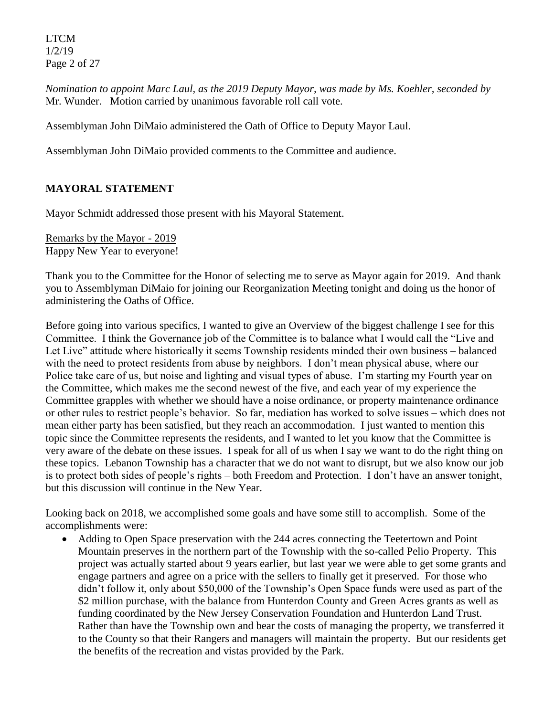LTCM 1/2/19 Page 2 of 27

*Nomination to appoint Marc Laul, as the 2019 Deputy Mayor, was made by Ms. Koehler, seconded by* Mr. Wunder. Motion carried by unanimous favorable roll call vote.

Assemblyman John DiMaio administered the Oath of Office to Deputy Mayor Laul.

Assemblyman John DiMaio provided comments to the Committee and audience.

## **MAYORAL STATEMENT**

Mayor Schmidt addressed those present with his Mayoral Statement.

Remarks by the Mayor - 2019 Happy New Year to everyone!

Thank you to the Committee for the Honor of selecting me to serve as Mayor again for 2019. And thank you to Assemblyman DiMaio for joining our Reorganization Meeting tonight and doing us the honor of administering the Oaths of Office.

Before going into various specifics, I wanted to give an Overview of the biggest challenge I see for this Committee. I think the Governance job of the Committee is to balance what I would call the "Live and Let Live" attitude where historically it seems Township residents minded their own business – balanced with the need to protect residents from abuse by neighbors. I don't mean physical abuse, where our Police take care of us, but noise and lighting and visual types of abuse. I'm starting my Fourth year on the Committee, which makes me the second newest of the five, and each year of my experience the Committee grapples with whether we should have a noise ordinance, or property maintenance ordinance or other rules to restrict people's behavior. So far, mediation has worked to solve issues – which does not mean either party has been satisfied, but they reach an accommodation. I just wanted to mention this topic since the Committee represents the residents, and I wanted to let you know that the Committee is very aware of the debate on these issues. I speak for all of us when I say we want to do the right thing on these topics. Lebanon Township has a character that we do not want to disrupt, but we also know our job is to protect both sides of people's rights – both Freedom and Protection. I don't have an answer tonight, but this discussion will continue in the New Year.

Looking back on 2018, we accomplished some goals and have some still to accomplish. Some of the accomplishments were:

 Adding to Open Space preservation with the 244 acres connecting the Teetertown and Point Mountain preserves in the northern part of the Township with the so-called Pelio Property. This project was actually started about 9 years earlier, but last year we were able to get some grants and engage partners and agree on a price with the sellers to finally get it preserved. For those who didn't follow it, only about \$50,000 of the Township's Open Space funds were used as part of the \$2 million purchase, with the balance from Hunterdon County and Green Acres grants as well as funding coordinated by the New Jersey Conservation Foundation and Hunterdon Land Trust. Rather than have the Township own and bear the costs of managing the property, we transferred it to the County so that their Rangers and managers will maintain the property. But our residents get the benefits of the recreation and vistas provided by the Park.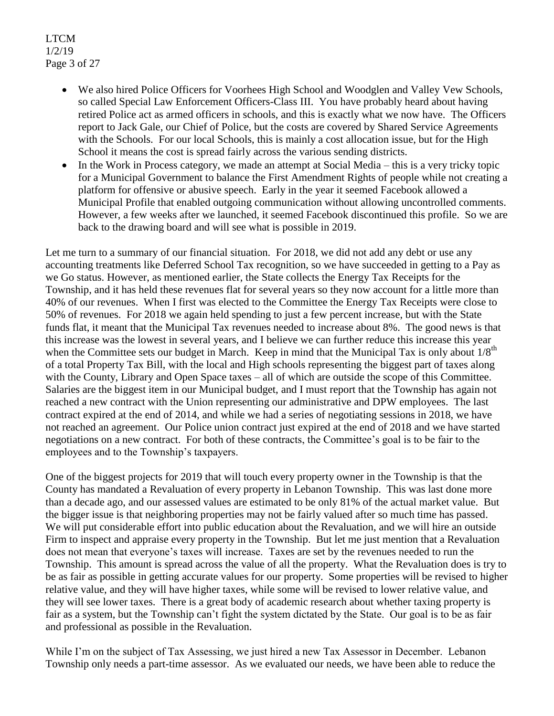LTCM 1/2/19 Page 3 of 27

- We also hired Police Officers for Voorhees High School and Woodglen and Valley Vew Schools, so called Special Law Enforcement Officers-Class III. You have probably heard about having retired Police act as armed officers in schools, and this is exactly what we now have. The Officers report to Jack Gale, our Chief of Police, but the costs are covered by Shared Service Agreements with the Schools. For our local Schools, this is mainly a cost allocation issue, but for the High School it means the cost is spread fairly across the various sending districts.
- $\bullet$  In the Work in Process category, we made an attempt at Social Media this is a very tricky topic for a Municipal Government to balance the First Amendment Rights of people while not creating a platform for offensive or abusive speech. Early in the year it seemed Facebook allowed a Municipal Profile that enabled outgoing communication without allowing uncontrolled comments. However, a few weeks after we launched, it seemed Facebook discontinued this profile. So we are back to the drawing board and will see what is possible in 2019.

Let me turn to a summary of our financial situation. For 2018, we did not add any debt or use any accounting treatments like Deferred School Tax recognition, so we have succeeded in getting to a Pay as we Go status. However, as mentioned earlier, the State collects the Energy Tax Receipts for the Township, and it has held these revenues flat for several years so they now account for a little more than 40% of our revenues. When I first was elected to the Committee the Energy Tax Receipts were close to 50% of revenues. For 2018 we again held spending to just a few percent increase, but with the State funds flat, it meant that the Municipal Tax revenues needed to increase about 8%. The good news is that this increase was the lowest in several years, and I believe we can further reduce this increase this year when the Committee sets our budget in March. Keep in mind that the Municipal Tax is only about  $1/8<sup>th</sup>$ of a total Property Tax Bill, with the local and High schools representing the biggest part of taxes along with the County, Library and Open Space taxes – all of which are outside the scope of this Committee. Salaries are the biggest item in our Municipal budget, and I must report that the Township has again not reached a new contract with the Union representing our administrative and DPW employees. The last contract expired at the end of 2014, and while we had a series of negotiating sessions in 2018, we have not reached an agreement. Our Police union contract just expired at the end of 2018 and we have started negotiations on a new contract. For both of these contracts, the Committee's goal is to be fair to the employees and to the Township's taxpayers.

One of the biggest projects for 2019 that will touch every property owner in the Township is that the County has mandated a Revaluation of every property in Lebanon Township. This was last done more than a decade ago, and our assessed values are estimated to be only 81% of the actual market value. But the bigger issue is that neighboring properties may not be fairly valued after so much time has passed. We will put considerable effort into public education about the Revaluation, and we will hire an outside Firm to inspect and appraise every property in the Township. But let me just mention that a Revaluation does not mean that everyone's taxes will increase. Taxes are set by the revenues needed to run the Township. This amount is spread across the value of all the property. What the Revaluation does is try to be as fair as possible in getting accurate values for our property. Some properties will be revised to higher relative value, and they will have higher taxes, while some will be revised to lower relative value, and they will see lower taxes. There is a great body of academic research about whether taxing property is fair as a system, but the Township can't fight the system dictated by the State. Our goal is to be as fair and professional as possible in the Revaluation.

While I'm on the subject of Tax Assessing, we just hired a new Tax Assessor in December. Lebanon Township only needs a part-time assessor. As we evaluated our needs, we have been able to reduce the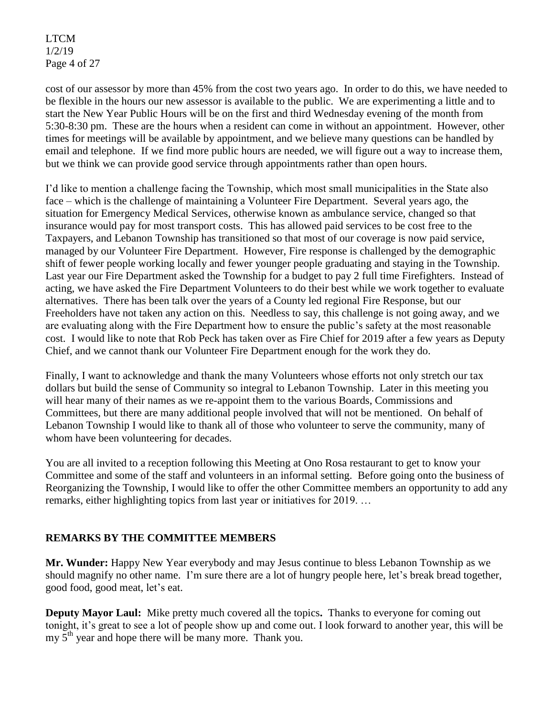LTCM 1/2/19 Page 4 of 27

cost of our assessor by more than 45% from the cost two years ago. In order to do this, we have needed to be flexible in the hours our new assessor is available to the public. We are experimenting a little and to start the New Year Public Hours will be on the first and third Wednesday evening of the month from 5:30-8:30 pm. These are the hours when a resident can come in without an appointment. However, other times for meetings will be available by appointment, and we believe many questions can be handled by email and telephone. If we find more public hours are needed, we will figure out a way to increase them, but we think we can provide good service through appointments rather than open hours.

I'd like to mention a challenge facing the Township, which most small municipalities in the State also face – which is the challenge of maintaining a Volunteer Fire Department. Several years ago, the situation for Emergency Medical Services, otherwise known as ambulance service, changed so that insurance would pay for most transport costs. This has allowed paid services to be cost free to the Taxpayers, and Lebanon Township has transitioned so that most of our coverage is now paid service, managed by our Volunteer Fire Department. However, Fire response is challenged by the demographic shift of fewer people working locally and fewer younger people graduating and staying in the Township. Last year our Fire Department asked the Township for a budget to pay 2 full time Firefighters. Instead of acting, we have asked the Fire Department Volunteers to do their best while we work together to evaluate alternatives. There has been talk over the years of a County led regional Fire Response, but our Freeholders have not taken any action on this. Needless to say, this challenge is not going away, and we are evaluating along with the Fire Department how to ensure the public's safety at the most reasonable cost. I would like to note that Rob Peck has taken over as Fire Chief for 2019 after a few years as Deputy Chief, and we cannot thank our Volunteer Fire Department enough for the work they do.

Finally, I want to acknowledge and thank the many Volunteers whose efforts not only stretch our tax dollars but build the sense of Community so integral to Lebanon Township. Later in this meeting you will hear many of their names as we re-appoint them to the various Boards, Commissions and Committees, but there are many additional people involved that will not be mentioned. On behalf of Lebanon Township I would like to thank all of those who volunteer to serve the community, many of whom have been volunteering for decades.

You are all invited to a reception following this Meeting at Ono Rosa restaurant to get to know your Committee and some of the staff and volunteers in an informal setting. Before going onto the business of Reorganizing the Township, I would like to offer the other Committee members an opportunity to add any remarks, either highlighting topics from last year or initiatives for 2019. …

## **REMARKS BY THE COMMITTEE MEMBERS**

**Mr. Wunder:** Happy New Year everybody and may Jesus continue to bless Lebanon Township as we should magnify no other name. I'm sure there are a lot of hungry people here, let's break bread together, good food, good meat, let's eat.

**Deputy Mayor Laul:** Mike pretty much covered all the topics**.** Thanks to everyone for coming out tonight, it's great to see a lot of people show up and come out. I look forward to another year, this will be my  $5<sup>th</sup>$  year and hope there will be many more. Thank you.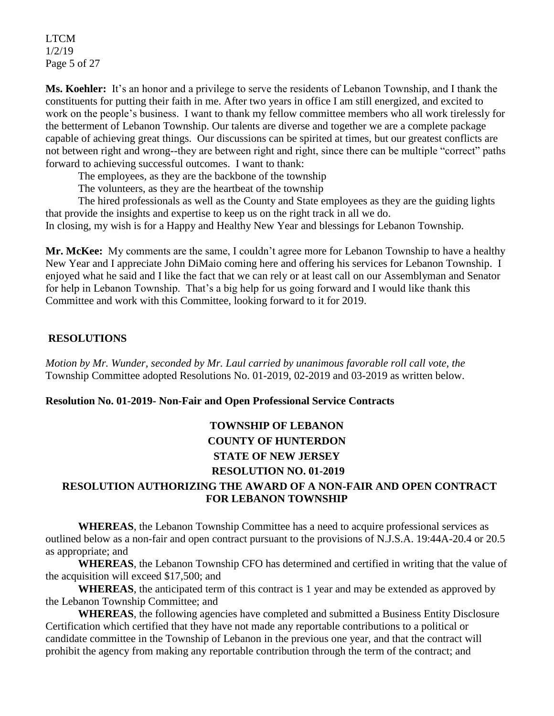LTCM 1/2/19 Page 5 of 27

**Ms. Koehler:** It's an honor and a privilege to serve the residents of Lebanon Township, and I thank the constituents for putting their faith in me. After two years in office I am still energized, and excited to work on the people's business. I want to thank my fellow committee members who all work tirelessly for the betterment of Lebanon Township. Our talents are diverse and together we are a complete package capable of achieving great things. Our discussions can be spirited at times, but our greatest conflicts are not between right and wrong--they are between right and right, since there can be multiple "correct" paths forward to achieving successful outcomes. I want to thank:

The employees, as they are the backbone of the township

The volunteers, as they are the heartbeat of the township

The hired professionals as well as the County and State employees as they are the guiding lights that provide the insights and expertise to keep us on the right track in all we do.

In closing, my wish is for a Happy and Healthy New Year and blessings for Lebanon Township.

**Mr. McKee:** My comments are the same, I couldn't agree more for Lebanon Township to have a healthy New Year and I appreciate John DiMaio coming here and offering his services for Lebanon Township. I enjoyed what he said and I like the fact that we can rely or at least call on our Assemblyman and Senator for help in Lebanon Township. That's a big help for us going forward and I would like thank this Committee and work with this Committee, looking forward to it for 2019.

## **RESOLUTIONS**

*Motion by Mr. Wunder, seconded by Mr. Laul carried by unanimous favorable roll call vote, the* Township Committee adopted Resolutions No. 01-2019, 02-2019 and 03-2019 as written below.

## **Resolution No. 01-2019- Non-Fair and Open Professional Service Contracts**

# **TOWNSHIP OF LEBANON COUNTY OF HUNTERDON STATE OF NEW JERSEY RESOLUTION NO. 01-2019**

## **RESOLUTION AUTHORIZING THE AWARD OF A NON-FAIR AND OPEN CONTRACT FOR LEBANON TOWNSHIP**

**WHEREAS**, the Lebanon Township Committee has a need to acquire professional services as outlined below as a non-fair and open contract pursuant to the provisions of N.J.S.A. 19:44A-20.4 or 20.5 as appropriate; and

**WHEREAS**, the Lebanon Township CFO has determined and certified in writing that the value of the acquisition will exceed \$17,500; and

**WHEREAS**, the anticipated term of this contract is 1 year and may be extended as approved by the Lebanon Township Committee; and

**WHEREAS**, the following agencies have completed and submitted a Business Entity Disclosure Certification which certified that they have not made any reportable contributions to a political or candidate committee in the Township of Lebanon in the previous one year, and that the contract will prohibit the agency from making any reportable contribution through the term of the contract; and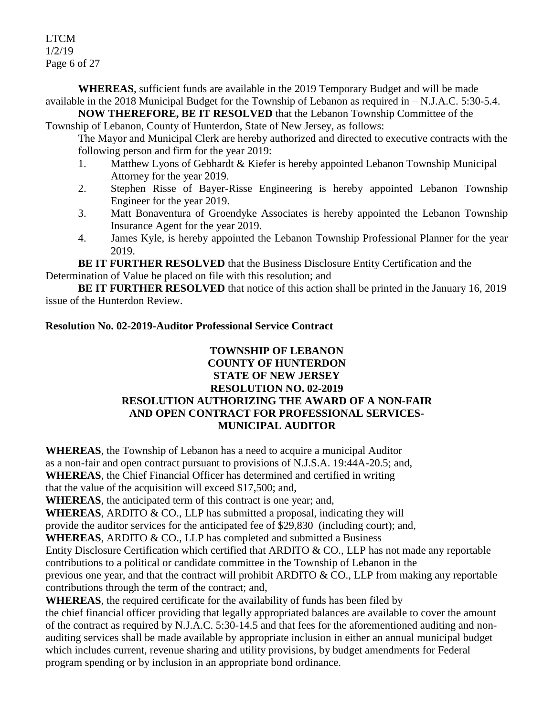LTCM 1/2/19 Page 6 of 27

**WHEREAS**, sufficient funds are available in the 2019 Temporary Budget and will be made available in the 2018 Municipal Budget for the Township of Lebanon as required in – N.J.A.C. 5:30-5.4.

**NOW THEREFORE, BE IT RESOLVED** that the Lebanon Township Committee of the Township of Lebanon, County of Hunterdon, State of New Jersey, as follows:

The Mayor and Municipal Clerk are hereby authorized and directed to executive contracts with the following person and firm for the year 2019:

- 1. Matthew Lyons of Gebhardt & Kiefer is hereby appointed Lebanon Township Municipal Attorney for the year 2019.
- 2. Stephen Risse of Bayer-Risse Engineering is hereby appointed Lebanon Township Engineer for the year 2019.
- 3. Matt Bonaventura of Groendyke Associates is hereby appointed the Lebanon Township Insurance Agent for the year 2019.
- 4. James Kyle, is hereby appointed the Lebanon Township Professional Planner for the year 2019.

**BE IT FURTHER RESOLVED** that the Business Disclosure Entity Certification and the Determination of Value be placed on file with this resolution; and

**BE IT FURTHER RESOLVED** that notice of this action shall be printed in the January 16, 2019 issue of the Hunterdon Review.

## **Resolution No. 02-2019-Auditor Professional Service Contract**

## **TOWNSHIP OF LEBANON COUNTY OF HUNTERDON STATE OF NEW JERSEY RESOLUTION NO. 02-2019 RESOLUTION AUTHORIZING THE AWARD OF A NON-FAIR AND OPEN CONTRACT FOR PROFESSIONAL SERVICES-MUNICIPAL AUDITOR**

**WHEREAS**, the Township of Lebanon has a need to acquire a municipal Auditor as a non-fair and open contract pursuant to provisions of N.J.S.A. 19:44A-20.5; and, **WHEREAS**, the Chief Financial Officer has determined and certified in writing that the value of the acquisition will exceed \$17,500; and,

**WHEREAS**, the anticipated term of this contract is one year; and,

WHEREAS, ARDITO & CO., LLP has submitted a proposal, indicating they will

provide the auditor services for the anticipated fee of \$29,830 (including court); and,

**WHEREAS**, ARDITO & CO., LLP has completed and submitted a Business

Entity Disclosure Certification which certified that ARDITO & CO., LLP has not made any reportable contributions to a political or candidate committee in the Township of Lebanon in the

previous one year, and that the contract will prohibit ARDITO & CO., LLP from making any reportable contributions through the term of the contract; and,

**WHEREAS**, the required certificate for the availability of funds has been filed by the chief financial officer providing that legally appropriated balances are available to cover the amount of the contract as required by N.J.A.C. 5:30-14.5 and that fees for the aforementioned auditing and nonauditing services shall be made available by appropriate inclusion in either an annual municipal budget which includes current, revenue sharing and utility provisions, by budget amendments for Federal program spending or by inclusion in an appropriate bond ordinance.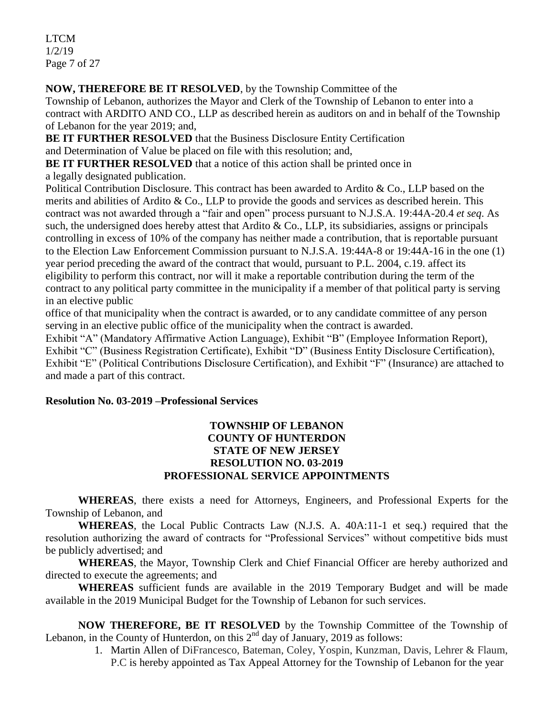LTCM 1/2/19 Page 7 of 27

**NOW, THEREFORE BE IT RESOLVED**, by the Township Committee of the

Township of Lebanon, authorizes the Mayor and Clerk of the Township of Lebanon to enter into a contract with ARDITO AND CO., LLP as described herein as auditors on and in behalf of the Township of Lebanon for the year 2019; and,

**BE IT FURTHER RESOLVED** that the Business Disclosure Entity Certification and Determination of Value be placed on file with this resolution; and,

**BE IT FURTHER RESOLVED** that a notice of this action shall be printed once in

a legally designated publication.

Political Contribution Disclosure. This contract has been awarded to Ardito & Co., LLP based on the merits and abilities of Ardito & Co., LLP to provide the goods and services as described herein. This contract was not awarded through a "fair and open" process pursuant to N.J.S.A. 19:44A-20.4 *et seq*. As such, the undersigned does hereby attest that Ardito & Co., LLP, its subsidiaries, assigns or principals controlling in excess of 10% of the company has neither made a contribution, that is reportable pursuant to the Election Law Enforcement Commission pursuant to N.J.S.A. 19:44A-8 or 19:44A-16 in the one (1) year period preceding the award of the contract that would, pursuant to P.L. 2004, c.19. affect its eligibility to perform this contract, nor will it make a reportable contribution during the term of the contract to any political party committee in the municipality if a member of that political party is serving in an elective public

office of that municipality when the contract is awarded, or to any candidate committee of any person serving in an elective public office of the municipality when the contract is awarded.

Exhibit "A" (Mandatory Affirmative Action Language), Exhibit "B" (Employee Information Report), Exhibit "C" (Business Registration Certificate), Exhibit "D" (Business Entity Disclosure Certification), Exhibit "E" (Political Contributions Disclosure Certification), and Exhibit "F" (Insurance) are attached to and made a part of this contract.

## **Resolution No. 03-2019 –Professional Services**

## **TOWNSHIP OF LEBANON COUNTY OF HUNTERDON STATE OF NEW JERSEY RESOLUTION NO. 03-2019 PROFESSIONAL SERVICE APPOINTMENTS**

**WHEREAS**, there exists a need for Attorneys, Engineers, and Professional Experts for the Township of Lebanon, and

**WHEREAS**, the Local Public Contracts Law (N.J.S. A. 40A:11-1 et seq.) required that the resolution authorizing the award of contracts for "Professional Services" without competitive bids must be publicly advertised; and

**WHEREAS**, the Mayor, Township Clerk and Chief Financial Officer are hereby authorized and directed to execute the agreements; and

**WHEREAS** sufficient funds are available in the 2019 Temporary Budget and will be made available in the 2019 Municipal Budget for the Township of Lebanon for such services.

**NOW THEREFORE, BE IT RESOLVED** by the Township Committee of the Township of Lebanon, in the County of Hunterdon, on this  $2<sup>nd</sup>$  day of January, 2019 as follows:

> 1. Martin Allen of DiFrancesco, Bateman, Coley, Yospin, Kunzman, Davis, Lehrer & Flaum, P.C is hereby appointed as Tax Appeal Attorney for the Township of Lebanon for the year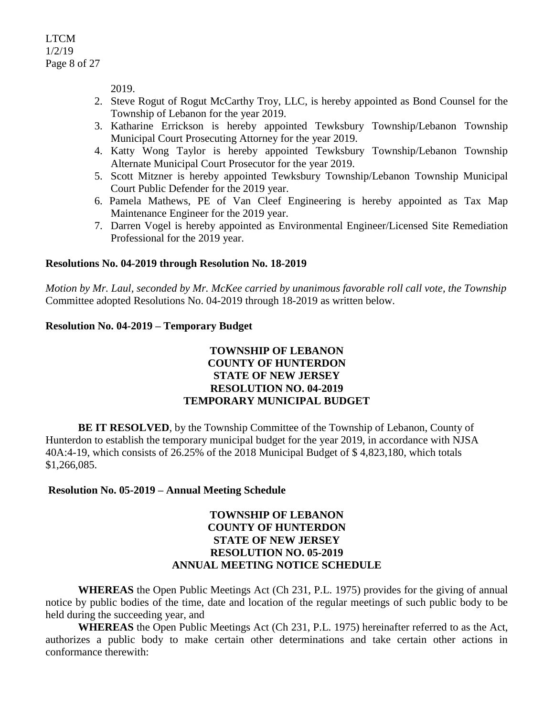2019.

- 2. Steve Rogut of Rogut McCarthy Troy, LLC, is hereby appointed as Bond Counsel for the Township of Lebanon for the year 2019.
- 3. Katharine Errickson is hereby appointed Tewksbury Township/Lebanon Township Municipal Court Prosecuting Attorney for the year 2019.
- 4. Katty Wong Taylor is hereby appointed Tewksbury Township/Lebanon Township Alternate Municipal Court Prosecutor for the year 2019.
- 5. Scott Mitzner is hereby appointed Tewksbury Township/Lebanon Township Municipal Court Public Defender for the 2019 year.
- 6. Pamela Mathews, PE of Van Cleef Engineering is hereby appointed as Tax Map Maintenance Engineer for the 2019 year.
- 7. Darren Vogel is hereby appointed as Environmental Engineer/Licensed Site Remediation Professional for the 2019 year.

## **Resolutions No. 04-2019 through Resolution No. 18-2019**

*Motion by Mr. Laul, seconded by Mr. McKee carried by unanimous favorable roll call vote, the Township* Committee adopted Resolutions No. 04-2019 through 18-2019 as written below.

## **Resolution No. 04-2019 – Temporary Budget**

## **TOWNSHIP OF LEBANON COUNTY OF HUNTERDON STATE OF NEW JERSEY RESOLUTION NO. 04-2019 TEMPORARY MUNICIPAL BUDGET**

**BE IT RESOLVED**, by the Township Committee of the Township of Lebanon, County of Hunterdon to establish the temporary municipal budget for the year 2019, in accordance with NJSA 40A:4-19, which consists of 26.25% of the 2018 Municipal Budget of \$ 4,823,180, which totals \$1,266,085.

## **Resolution No. 05-2019 – Annual Meeting Schedule**

## **TOWNSHIP OF LEBANON COUNTY OF HUNTERDON STATE OF NEW JERSEY RESOLUTION NO. 05-2019 ANNUAL MEETING NOTICE SCHEDULE**

**WHEREAS** the Open Public Meetings Act (Ch 231, P.L. 1975) provides for the giving of annual notice by public bodies of the time, date and location of the regular meetings of such public body to be held during the succeeding year, and

**WHEREAS** the Open Public Meetings Act (Ch 231, P.L. 1975) hereinafter referred to as the Act, authorizes a public body to make certain other determinations and take certain other actions in conformance therewith: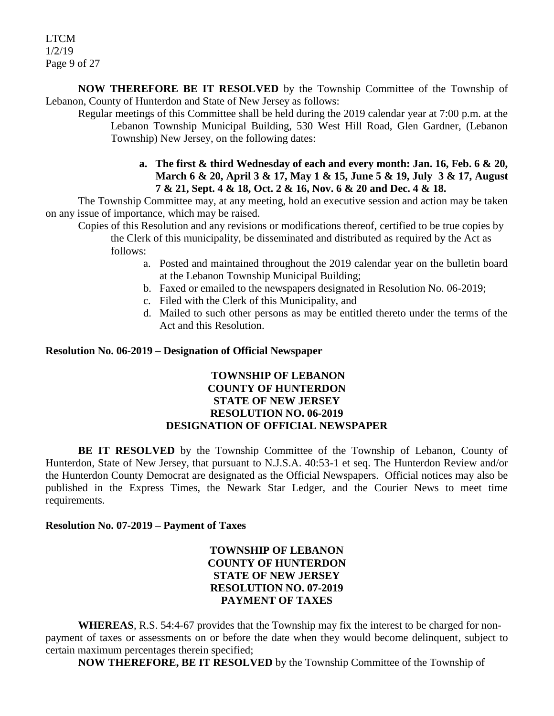LTCM 1/2/19 Page 9 of 27

**NOW THEREFORE BE IT RESOLVED** by the Township Committee of the Township of Lebanon, County of Hunterdon and State of New Jersey as follows:

Regular meetings of this Committee shall be held during the 2019 calendar year at 7:00 p.m. at the Lebanon Township Municipal Building, 530 West Hill Road, Glen Gardner, (Lebanon Township) New Jersey, on the following dates:

> **a. The first & third Wednesday of each and every month: Jan. 16, Feb. 6 & 20, March 6 & 20, April 3 & 17, May 1 & 15, June 5 & 19, July 3 & 17, August 7 & 21, Sept. 4 & 18, Oct. 2 & 16, Nov. 6 & 20 and Dec. 4 & 18.**

The Township Committee may, at any meeting, hold an executive session and action may be taken on any issue of importance, which may be raised.

Copies of this Resolution and any revisions or modifications thereof, certified to be true copies by the Clerk of this municipality, be disseminated and distributed as required by the Act as follows:

- a. Posted and maintained throughout the 2019 calendar year on the bulletin board at the Lebanon Township Municipal Building;
- b. Faxed or emailed to the newspapers designated in Resolution No. 06-2019;
- c. Filed with the Clerk of this Municipality, and
- d. Mailed to such other persons as may be entitled thereto under the terms of the Act and this Resolution.

#### **Resolution No. 06-2019 – Designation of Official Newspaper**

### **TOWNSHIP OF LEBANON COUNTY OF HUNTERDON STATE OF NEW JERSEY RESOLUTION NO. 06-2019 DESIGNATION OF OFFICIAL NEWSPAPER**

**BE IT RESOLVED** by the Township Committee of the Township of Lebanon, County of Hunterdon, State of New Jersey, that pursuant to N.J.S.A. 40:53-1 et seq. The Hunterdon Review and/or the Hunterdon County Democrat are designated as the Official Newspapers. Official notices may also be published in the Express Times, the Newark Star Ledger, and the Courier News to meet time requirements.

#### **Resolution No. 07-2019 – Payment of Taxes**

## **TOWNSHIP OF LEBANON COUNTY OF HUNTERDON STATE OF NEW JERSEY RESOLUTION NO. 07-2019 PAYMENT OF TAXES**

**WHEREAS**, R.S. 54:4-67 provides that the Township may fix the interest to be charged for nonpayment of taxes or assessments on or before the date when they would become delinquent, subject to certain maximum percentages therein specified;

**NOW THEREFORE, BE IT RESOLVED** by the Township Committee of the Township of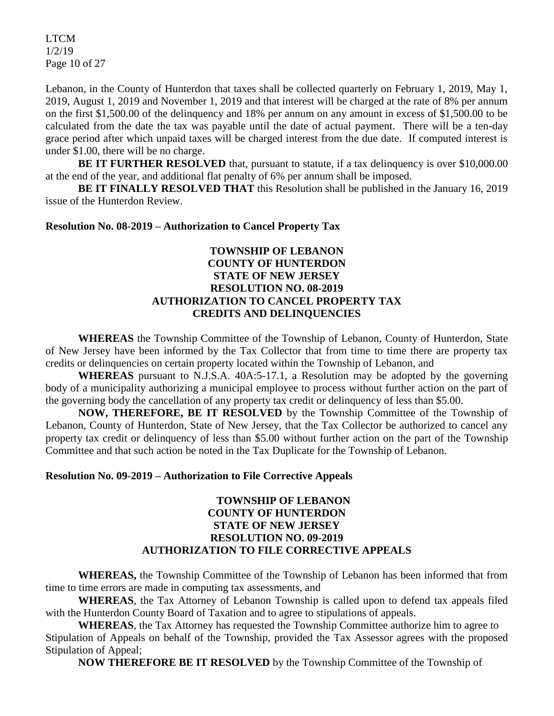LTCM 1/2/19 Page 10 of 27

Lebanon, in the County of Hunterdon that taxes shall be collected quarterly on February 1, 2019, May 1, 2019, August 1, 2019 and November 1, 2019 and that interest will be charged at the rate of 8% per annum on the first \$1,500.00 of the delinquency and 18% per annum on any amount in excess of \$1,500.00 to be calculated from the date the tax was payable until the date of actual payment. There will be a ten-day grace period after which unpaid taxes will be charged interest from the due date. If computed interest is under \$1.00, there will be no charge.

**BE IT FURTHER RESOLVED** that, pursuant to statute, if a tax delinquency is over \$10,000.00 at the end of the year, and additional flat penalty of 6% per annum shall be imposed.

**BE IT FINALLY RESOLVED THAT** this Resolution shall be published in the January 16, 2019 issue of the Hunterdon Review.

#### **Resolution No. 08-2019 – Authorization to Cancel Property Tax**

## **TOWNSHIP OF LEBANON COUNTY OF HUNTERDON STATE OF NEW JERSEY RESOLUTION NO. 08-2019 AUTHORIZATION TO CANCEL PROPERTY TAX CREDITS AND DELINQUENCIES**

**WHEREAS** the Township Committee of the Township of Lebanon, County of Hunterdon, State of New Jersey have been informed by the Tax Collector that from time to time there are property tax credits or delinquencies on certain property located within the Township of Lebanon, and

**WHEREAS** pursuant to N.J.S.A. 40A:5-17.1, a Resolution may be adopted by the governing body of a municipality authorizing a municipal employee to process without further action on the part of the governing body the cancellation of any property tax credit or delinquency of less than \$5.00.

**NOW, THEREFORE, BE IT RESOLVED** by the Township Committee of the Township of Lebanon, County of Hunterdon, State of New Jersey, that the Tax Collector be authorized to cancel any property tax credit or delinquency of less than \$5.00 without further action on the part of the Township Committee and that such action be noted in the Tax Duplicate for the Township of Lebanon.

#### **Resolution No. 09-2019 – Authorization to File Corrective Appeals**

### **TOWNSHIP OF LEBANON COUNTY OF HUNTERDON STATE OF NEW JERSEY RESOLUTION NO. 09-2019 AUTHORIZATION TO FILE CORRECTIVE APPEALS**

**WHEREAS,** the Township Committee of the Township of Lebanon has been informed that from time to time errors are made in computing tax assessments, and

**WHEREAS**, the Tax Attorney of Lebanon Township is called upon to defend tax appeals filed with the Hunterdon County Board of Taxation and to agree to stipulations of appeals.

**WHEREAS**, the Tax Attorney has requested the Township Committee authorize him to agree to Stipulation of Appeals on behalf of the Township, provided the Tax Assessor agrees with the proposed Stipulation of Appeal;

**NOW THEREFORE BE IT RESOLVED** by the Township Committee of the Township of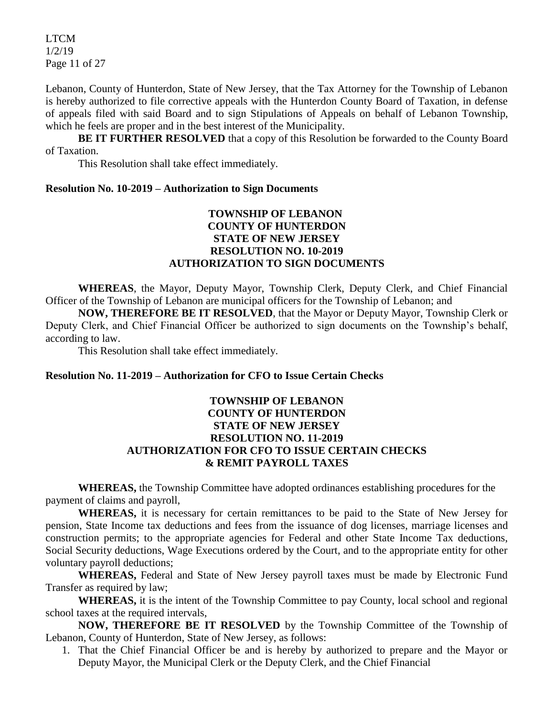LTCM 1/2/19 Page 11 of 27

Lebanon, County of Hunterdon, State of New Jersey, that the Tax Attorney for the Township of Lebanon is hereby authorized to file corrective appeals with the Hunterdon County Board of Taxation, in defense of appeals filed with said Board and to sign Stipulations of Appeals on behalf of Lebanon Township, which he feels are proper and in the best interest of the Municipality.

**BE IT FURTHER RESOLVED** that a copy of this Resolution be forwarded to the County Board of Taxation.

This Resolution shall take effect immediately.

#### **Resolution No. 10-2019 – Authorization to Sign Documents**

## **TOWNSHIP OF LEBANON COUNTY OF HUNTERDON STATE OF NEW JERSEY RESOLUTION NO. 10-2019 AUTHORIZATION TO SIGN DOCUMENTS**

**WHEREAS**, the Mayor, Deputy Mayor, Township Clerk, Deputy Clerk, and Chief Financial Officer of the Township of Lebanon are municipal officers for the Township of Lebanon; and

**NOW, THEREFORE BE IT RESOLVED**, that the Mayor or Deputy Mayor, Township Clerk or Deputy Clerk, and Chief Financial Officer be authorized to sign documents on the Township's behalf, according to law.

This Resolution shall take effect immediately.

#### **Resolution No. 11-2019 – Authorization for CFO to Issue Certain Checks**

#### **TOWNSHIP OF LEBANON COUNTY OF HUNTERDON STATE OF NEW JERSEY RESOLUTION NO. 11-2019 AUTHORIZATION FOR CFO TO ISSUE CERTAIN CHECKS & REMIT PAYROLL TAXES**

**WHEREAS,** the Township Committee have adopted ordinances establishing procedures for the payment of claims and payroll,

**WHEREAS,** it is necessary for certain remittances to be paid to the State of New Jersey for pension, State Income tax deductions and fees from the issuance of dog licenses, marriage licenses and construction permits; to the appropriate agencies for Federal and other State Income Tax deductions, Social Security deductions, Wage Executions ordered by the Court, and to the appropriate entity for other voluntary payroll deductions;

**WHEREAS,** Federal and State of New Jersey payroll taxes must be made by Electronic Fund Transfer as required by law;

**WHEREAS,** it is the intent of the Township Committee to pay County, local school and regional school taxes at the required intervals,

**NOW, THEREFORE BE IT RESOLVED** by the Township Committee of the Township of Lebanon, County of Hunterdon, State of New Jersey, as follows:

1. That the Chief Financial Officer be and is hereby by authorized to prepare and the Mayor or Deputy Mayor, the Municipal Clerk or the Deputy Clerk, and the Chief Financial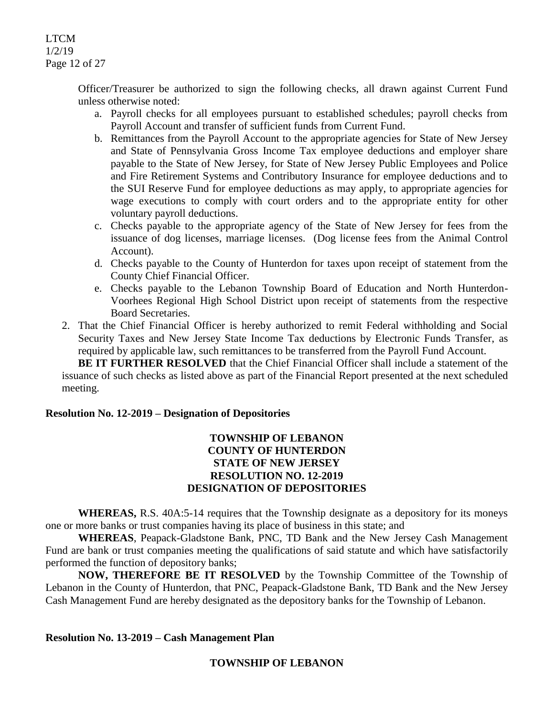LTCM 1/2/19 Page 12 of 27

> Officer/Treasurer be authorized to sign the following checks, all drawn against Current Fund unless otherwise noted:

- a. Payroll checks for all employees pursuant to established schedules; payroll checks from Payroll Account and transfer of sufficient funds from Current Fund.
- b. Remittances from the Payroll Account to the appropriate agencies for State of New Jersey and State of Pennsylvania Gross Income Tax employee deductions and employer share payable to the State of New Jersey, for State of New Jersey Public Employees and Police and Fire Retirement Systems and Contributory Insurance for employee deductions and to the SUI Reserve Fund for employee deductions as may apply, to appropriate agencies for wage executions to comply with court orders and to the appropriate entity for other voluntary payroll deductions.
- c. Checks payable to the appropriate agency of the State of New Jersey for fees from the issuance of dog licenses, marriage licenses. (Dog license fees from the Animal Control Account).
- d. Checks payable to the County of Hunterdon for taxes upon receipt of statement from the County Chief Financial Officer.
- e. Checks payable to the Lebanon Township Board of Education and North Hunterdon-Voorhees Regional High School District upon receipt of statements from the respective Board Secretaries.
- 2. That the Chief Financial Officer is hereby authorized to remit Federal withholding and Social Security Taxes and New Jersey State Income Tax deductions by Electronic Funds Transfer, as required by applicable law, such remittances to be transferred from the Payroll Fund Account.

**BE IT FURTHER RESOLVED** that the Chief Financial Officer shall include a statement of the issuance of such checks as listed above as part of the Financial Report presented at the next scheduled meeting.

#### **Resolution No. 12-2019 – Designation of Depositories**

#### **TOWNSHIP OF LEBANON COUNTY OF HUNTERDON STATE OF NEW JERSEY RESOLUTION NO. 12-2019 DESIGNATION OF DEPOSITORIES**

**WHEREAS,** R.S. 40A:5-14 requires that the Township designate as a depository for its moneys one or more banks or trust companies having its place of business in this state; and

**WHEREAS**, Peapack-Gladstone Bank, PNC, TD Bank and the New Jersey Cash Management Fund are bank or trust companies meeting the qualifications of said statute and which have satisfactorily performed the function of depository banks;

**NOW, THEREFORE BE IT RESOLVED** by the Township Committee of the Township of Lebanon in the County of Hunterdon, that PNC, Peapack-Gladstone Bank, TD Bank and the New Jersey Cash Management Fund are hereby designated as the depository banks for the Township of Lebanon.

#### **Resolution No. 13-2019 – Cash Management Plan**

#### **TOWNSHIP OF LEBANON**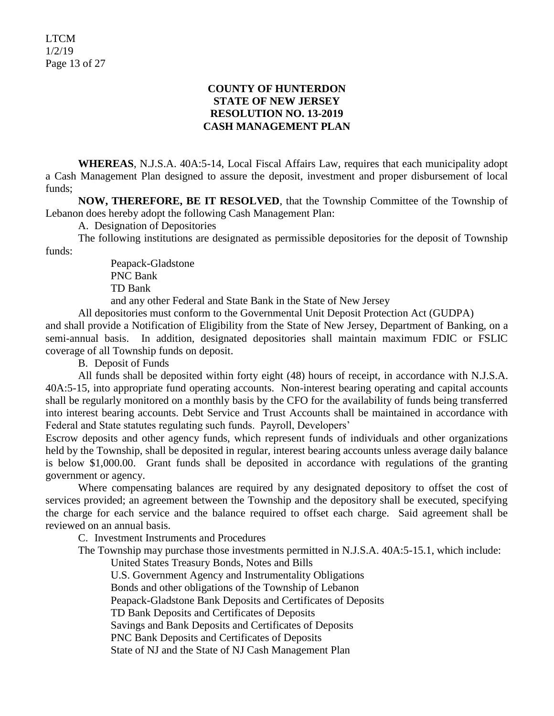## **COUNTY OF HUNTERDON STATE OF NEW JERSEY RESOLUTION NO. 13-2019 CASH MANAGEMENT PLAN**

**WHEREAS**, N.J.S.A. 40A:5-14, Local Fiscal Affairs Law, requires that each municipality adopt a Cash Management Plan designed to assure the deposit, investment and proper disbursement of local funds;

**NOW, THEREFORE, BE IT RESOLVED**, that the Township Committee of the Township of Lebanon does hereby adopt the following Cash Management Plan:

A. Designation of Depositories

The following institutions are designated as permissible depositories for the deposit of Township funds:

> Peapack-Gladstone PNC Bank TD Bank

and any other Federal and State Bank in the State of New Jersey

All depositories must conform to the Governmental Unit Deposit Protection Act (GUDPA)

and shall provide a Notification of Eligibility from the State of New Jersey, Department of Banking, on a semi-annual basis. In addition, designated depositories shall maintain maximum FDIC or FSLIC coverage of all Township funds on deposit.

B. Deposit of Funds

All funds shall be deposited within forty eight (48) hours of receipt, in accordance with N.J.S.A. 40A:5-15, into appropriate fund operating accounts. Non-interest bearing operating and capital accounts shall be regularly monitored on a monthly basis by the CFO for the availability of funds being transferred into interest bearing accounts. Debt Service and Trust Accounts shall be maintained in accordance with Federal and State statutes regulating such funds. Payroll, Developers'

Escrow deposits and other agency funds, which represent funds of individuals and other organizations held by the Township, shall be deposited in regular, interest bearing accounts unless average daily balance is below \$1,000.00. Grant funds shall be deposited in accordance with regulations of the granting government or agency.

Where compensating balances are required by any designated depository to offset the cost of services provided; an agreement between the Township and the depository shall be executed, specifying the charge for each service and the balance required to offset each charge. Said agreement shall be reviewed on an annual basis.

C. Investment Instruments and Procedures

The Township may purchase those investments permitted in N.J.S.A. 40A:5-15.1, which include:

United States Treasury Bonds, Notes and Bills

U.S. Government Agency and Instrumentality Obligations

Bonds and other obligations of the Township of Lebanon

Peapack-Gladstone Bank Deposits and Certificates of Deposits

TD Bank Deposits and Certificates of Deposits

Savings and Bank Deposits and Certificates of Deposits

PNC Bank Deposits and Certificates of Deposits

State of NJ and the State of NJ Cash Management Plan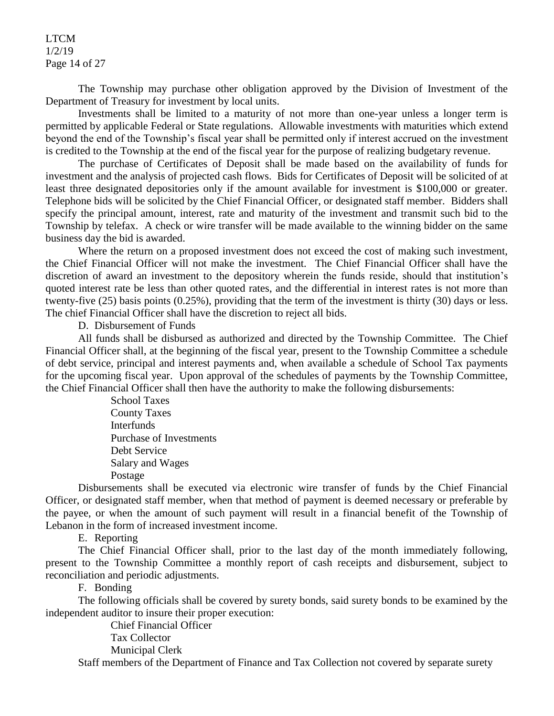LTCM 1/2/19 Page 14 of 27

The Township may purchase other obligation approved by the Division of Investment of the Department of Treasury for investment by local units.

Investments shall be limited to a maturity of not more than one-year unless a longer term is permitted by applicable Federal or State regulations. Allowable investments with maturities which extend beyond the end of the Township's fiscal year shall be permitted only if interest accrued on the investment is credited to the Township at the end of the fiscal year for the purpose of realizing budgetary revenue.

The purchase of Certificates of Deposit shall be made based on the availability of funds for investment and the analysis of projected cash flows. Bids for Certificates of Deposit will be solicited of at least three designated depositories only if the amount available for investment is \$100,000 or greater. Telephone bids will be solicited by the Chief Financial Officer, or designated staff member. Bidders shall specify the principal amount, interest, rate and maturity of the investment and transmit such bid to the Township by telefax. A check or wire transfer will be made available to the winning bidder on the same business day the bid is awarded.

Where the return on a proposed investment does not exceed the cost of making such investment, the Chief Financial Officer will not make the investment. The Chief Financial Officer shall have the discretion of award an investment to the depository wherein the funds reside, should that institution's quoted interest rate be less than other quoted rates, and the differential in interest rates is not more than twenty-five (25) basis points (0.25%), providing that the term of the investment is thirty (30) days or less. The chief Financial Officer shall have the discretion to reject all bids.

D. Disbursement of Funds

All funds shall be disbursed as authorized and directed by the Township Committee. The Chief Financial Officer shall, at the beginning of the fiscal year, present to the Township Committee a schedule of debt service, principal and interest payments and, when available a schedule of School Tax payments for the upcoming fiscal year. Upon approval of the schedules of payments by the Township Committee, the Chief Financial Officer shall then have the authority to make the following disbursements:

> School Taxes County Taxes Interfunds Purchase of Investments Debt Service Salary and Wages Postage

Disbursements shall be executed via electronic wire transfer of funds by the Chief Financial Officer, or designated staff member, when that method of payment is deemed necessary or preferable by the payee, or when the amount of such payment will result in a financial benefit of the Township of Lebanon in the form of increased investment income.

E. Reporting

The Chief Financial Officer shall, prior to the last day of the month immediately following, present to the Township Committee a monthly report of cash receipts and disbursement, subject to reconciliation and periodic adjustments.

F. Bonding

The following officials shall be covered by surety bonds, said surety bonds to be examined by the independent auditor to insure their proper execution:

> Chief Financial Officer Tax Collector Municipal Clerk

Staff members of the Department of Finance and Tax Collection not covered by separate surety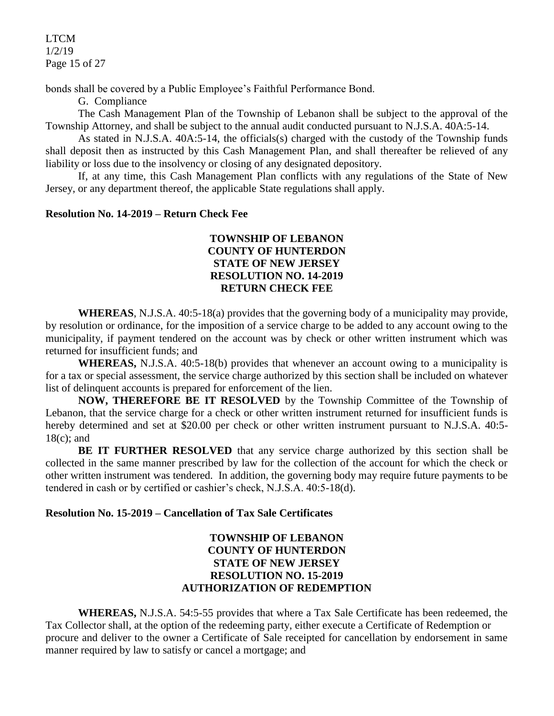LTCM 1/2/19 Page 15 of 27

bonds shall be covered by a Public Employee's Faithful Performance Bond.

G. Compliance

The Cash Management Plan of the Township of Lebanon shall be subject to the approval of the Township Attorney, and shall be subject to the annual audit conducted pursuant to N.J.S.A. 40A:5-14.

As stated in N.J.S.A. 40A:5-14, the officials(s) charged with the custody of the Township funds shall deposit then as instructed by this Cash Management Plan, and shall thereafter be relieved of any liability or loss due to the insolvency or closing of any designated depository.

If, at any time, this Cash Management Plan conflicts with any regulations of the State of New Jersey, or any department thereof, the applicable State regulations shall apply.

## **Resolution No. 14-2019 – Return Check Fee**

## **TOWNSHIP OF LEBANON COUNTY OF HUNTERDON STATE OF NEW JERSEY RESOLUTION NO. 14-2019 RETURN CHECK FEE**

**WHEREAS**, N.J.S.A. 40:5-18(a) provides that the governing body of a municipality may provide, by resolution or ordinance, for the imposition of a service charge to be added to any account owing to the municipality, if payment tendered on the account was by check or other written instrument which was returned for insufficient funds; and

**WHEREAS,** N.J.S.A. 40:5-18(b) provides that whenever an account owing to a municipality is for a tax or special assessment, the service charge authorized by this section shall be included on whatever list of delinquent accounts is prepared for enforcement of the lien.

**NOW, THEREFORE BE IT RESOLVED** by the Township Committee of the Township of Lebanon, that the service charge for a check or other written instrument returned for insufficient funds is hereby determined and set at \$20.00 per check or other written instrument pursuant to N.J.S.A. 40:5-18(c); and

**BE IT FURTHER RESOLVED** that any service charge authorized by this section shall be collected in the same manner prescribed by law for the collection of the account for which the check or other written instrument was tendered. In addition, the governing body may require future payments to be tendered in cash or by certified or cashier's check, N.J.S.A. 40:5-18(d).

## **Resolution No. 15-2019 – Cancellation of Tax Sale Certificates**

## **TOWNSHIP OF LEBANON COUNTY OF HUNTERDON STATE OF NEW JERSEY RESOLUTION NO. 15-2019 AUTHORIZATION OF REDEMPTION**

**WHEREAS,** N.J.S.A. 54:5-55 provides that where a Tax Sale Certificate has been redeemed, the Tax Collector shall, at the option of the redeeming party, either execute a Certificate of Redemption or procure and deliver to the owner a Certificate of Sale receipted for cancellation by endorsement in same manner required by law to satisfy or cancel a mortgage; and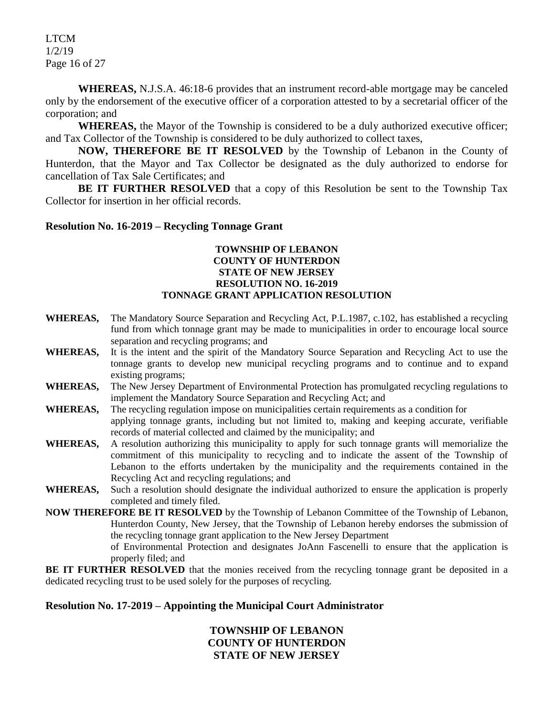LTCM 1/2/19 Page 16 of 27

**WHEREAS,** N.J.S.A. 46:18-6 provides that an instrument record-able mortgage may be canceled only by the endorsement of the executive officer of a corporation attested to by a secretarial officer of the corporation; and

**WHEREAS,** the Mayor of the Township is considered to be a duly authorized executive officer; and Tax Collector of the Township is considered to be duly authorized to collect taxes,

**NOW, THEREFORE BE IT RESOLVED** by the Township of Lebanon in the County of Hunterdon, that the Mayor and Tax Collector be designated as the duly authorized to endorse for cancellation of Tax Sale Certificates; and

**BE IT FURTHER RESOLVED** that a copy of this Resolution be sent to the Township Tax Collector for insertion in her official records.

#### **Resolution No. 16-2019 – Recycling Tonnage Grant**

#### **TOWNSHIP OF LEBANON COUNTY OF HUNTERDON STATE OF NEW JERSEY RESOLUTION NO. 16-2019 TONNAGE GRANT APPLICATION RESOLUTION**

- **WHEREAS,** The Mandatory Source Separation and Recycling Act, P.L.1987, c.102, has established a recycling fund from which tonnage grant may be made to municipalities in order to encourage local source separation and recycling programs; and
- **WHEREAS,** It is the intent and the spirit of the Mandatory Source Separation and Recycling Act to use the tonnage grants to develop new municipal recycling programs and to continue and to expand existing programs;
- **WHEREAS,** The New Jersey Department of Environmental Protection has promulgated recycling regulations to implement the Mandatory Source Separation and Recycling Act; and
- **WHEREAS,** The recycling regulation impose on municipalities certain requirements as a condition for applying tonnage grants, including but not limited to, making and keeping accurate, verifiable records of material collected and claimed by the municipality; and
- **WHEREAS,** A resolution authorizing this municipality to apply for such tonnage grants will memorialize the commitment of this municipality to recycling and to indicate the assent of the Township of Lebanon to the efforts undertaken by the municipality and the requirements contained in the Recycling Act and recycling regulations; and
- **WHEREAS,** Such a resolution should designate the individual authorized to ensure the application is properly completed and timely filed.
- **NOW THEREFORE BE IT RESOLVED** by the Township of Lebanon Committee of the Township of Lebanon, Hunterdon County, New Jersey, that the Township of Lebanon hereby endorses the submission of the recycling tonnage grant application to the New Jersey Department of Environmental Protection and designates JoAnn Fascenelli to ensure that the application is
	- properly filed; and

**BE IT FURTHER RESOLVED** that the monies received from the recycling tonnage grant be deposited in a dedicated recycling trust to be used solely for the purposes of recycling.

#### **Resolution No. 17-2019 – Appointing the Municipal Court Administrator**

**TOWNSHIP OF LEBANON COUNTY OF HUNTERDON STATE OF NEW JERSEY**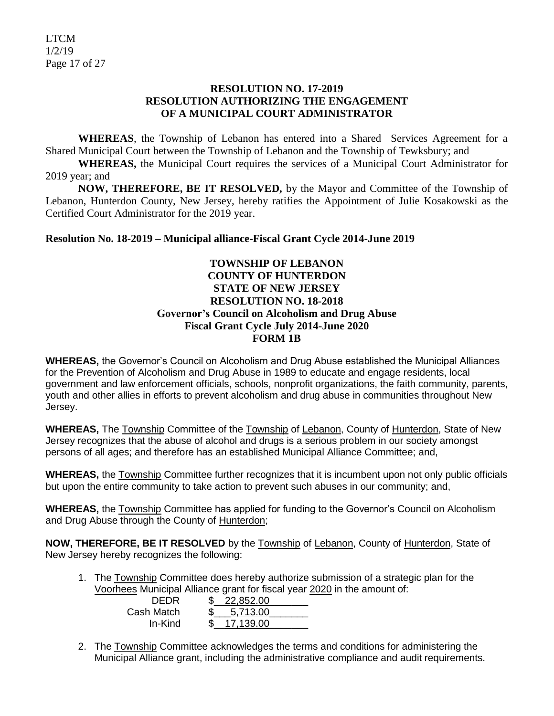#### **RESOLUTION NO. 17-2019 RESOLUTION AUTHORIZING THE ENGAGEMENT OF A MUNICIPAL COURT ADMINISTRATOR**

**WHEREAS**, the Township of Lebanon has entered into a Shared Services Agreement for a Shared Municipal Court between the Township of Lebanon and the Township of Tewksbury; and

**WHEREAS,** the Municipal Court requires the services of a Municipal Court Administrator for 2019 year; and

**NOW, THEREFORE, BE IT RESOLVED,** by the Mayor and Committee of the Township of Lebanon, Hunterdon County, New Jersey, hereby ratifies the Appointment of Julie Kosakowski as the Certified Court Administrator for the 2019 year.

## **Resolution No. 18-2019 – Municipal alliance-Fiscal Grant Cycle 2014-June 2019**

### **TOWNSHIP OF LEBANON COUNTY OF HUNTERDON STATE OF NEW JERSEY RESOLUTION NO. 18-2018 Governor's Council on Alcoholism and Drug Abuse Fiscal Grant Cycle July 2014-June 2020 FORM 1B**

**WHEREAS,** the Governor's Council on Alcoholism and Drug Abuse established the Municipal Alliances for the Prevention of Alcoholism and Drug Abuse in 1989 to educate and engage residents, local government and law enforcement officials, schools, nonprofit organizations, the faith community, parents, youth and other allies in efforts to prevent alcoholism and drug abuse in communities throughout New Jersey.

**WHEREAS,** The Township Committee of the Township of Lebanon, County of Hunterdon, State of New Jersey recognizes that the abuse of alcohol and drugs is a serious problem in our society amongst persons of all ages; and therefore has an established Municipal Alliance Committee; and,

**WHEREAS,** the Township Committee further recognizes that it is incumbent upon not only public officials but upon the entire community to take action to prevent such abuses in our community; and,

**WHEREAS,** the Township Committee has applied for funding to the Governor's Council on Alcoholism and Drug Abuse through the County of Hunterdon;

**NOW, THEREFORE, BE IT RESOLVED** by the Township of Lebanon, County of Hunterdon, State of New Jersey hereby recognizes the following:

> 5,713.00 17.139.00

1. The Township Committee does hereby authorize submission of a strategic plan for the Voorhees Municipal Alliance grant for fiscal year 2020 in the amount of:  $22,852.00$ 

| DEDR       |    |
|------------|----|
| Cash Match | \$ |
| In-Kind    | \$ |

2. The Township Committee acknowledges the terms and conditions for administering the Municipal Alliance grant, including the administrative compliance and audit requirements.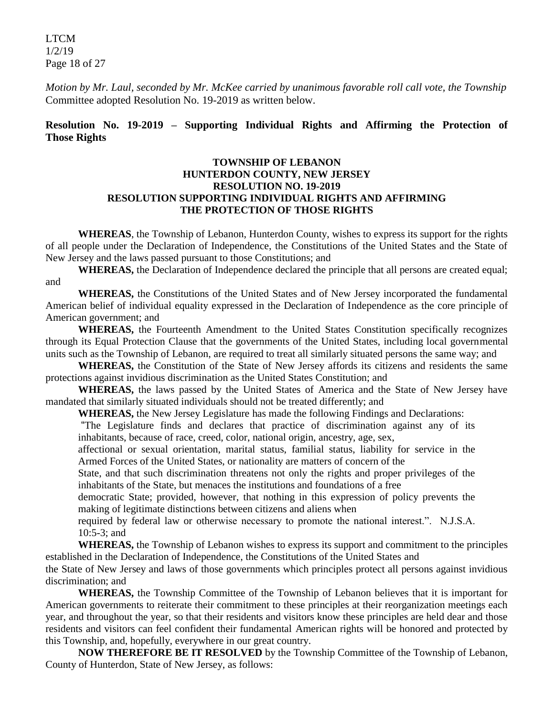LTCM 1/2/19 Page 18 of 27

*Motion by Mr. Laul, seconded by Mr. McKee carried by unanimous favorable roll call vote, the Township* Committee adopted Resolution No. 19-2019 as written below.

#### **Resolution No. 19-2019 – Supporting Individual Rights and Affirming the Protection of Those Rights**

#### **TOWNSHIP OF LEBANON HUNTERDON COUNTY, NEW JERSEY RESOLUTION NO. 19-2019 RESOLUTION SUPPORTING INDIVIDUAL RIGHTS AND AFFIRMING THE PROTECTION OF THOSE RIGHTS**

**WHEREAS**, the Township of Lebanon, Hunterdon County, wishes to express its support for the rights of all people under the Declaration of Independence, the Constitutions of the United States and the State of New Jersey and the laws passed pursuant to those Constitutions; and

**WHEREAS,** the Declaration of Independence declared the principle that all persons are created equal; and

**WHEREAS,** the Constitutions of the United States and of New Jersey incorporated the fundamental American belief of individual equality expressed in the Declaration of Independence as the core principle of American government; and

**WHEREAS,** the Fourteenth Amendment to the United States Constitution specifically recognizes through its Equal Protection Clause that the governments of the United States, including local governmental units such as the Township of Lebanon, are required to treat all similarly situated persons the same way; and

**WHEREAS,** the Constitution of the State of New Jersey affords its citizens and residents the same protections against invidious discrimination as the United States Constitution; and

**WHEREAS,** the laws passed by the United States of America and the State of New Jersey have mandated that similarly situated individuals should not be treated differently; and

**WHEREAS,** the New Jersey Legislature has made the following Findings and Declarations:

"The Legislature finds and declares that practice of discrimination against any of its inhabitants, because of race, creed, color, national origin, ancestry, age, sex,

affectional or sexual orientation, marital status, familial status, liability for service in the Armed Forces of the United States, or nationality are matters of concern of the

State, and that such discrimination threatens not only the rights and proper privileges of the inhabitants of the State, but menaces the institutions and foundations of a free

democratic State; provided, however, that nothing in this expression of policy prevents the making of legitimate distinctions between citizens and aliens when

required by federal law or otherwise necessary to promote the national interest.". N.J.S.A. 10:5-3; and

**WHEREAS,** the Township of Lebanon wishes to express its support and commitment to the principles established in the Declaration of Independence, the Constitutions of the United States and

the State of New Jersey and laws of those governments which principles protect all persons against invidious discrimination; and

**WHEREAS,** the Township Committee of the Township of Lebanon believes that it is important for American governments to reiterate their commitment to these principles at their reorganization meetings each year, and throughout the year, so that their residents and visitors know these principles are held dear and those residents and visitors can feel confident their fundamental American rights will be honored and protected by this Township, and, hopefully, everywhere in our great country.

**NOW THEREFORE BE IT RESOLVED** by the Township Committee of the Township of Lebanon, County of Hunterdon, State of New Jersey, as follows: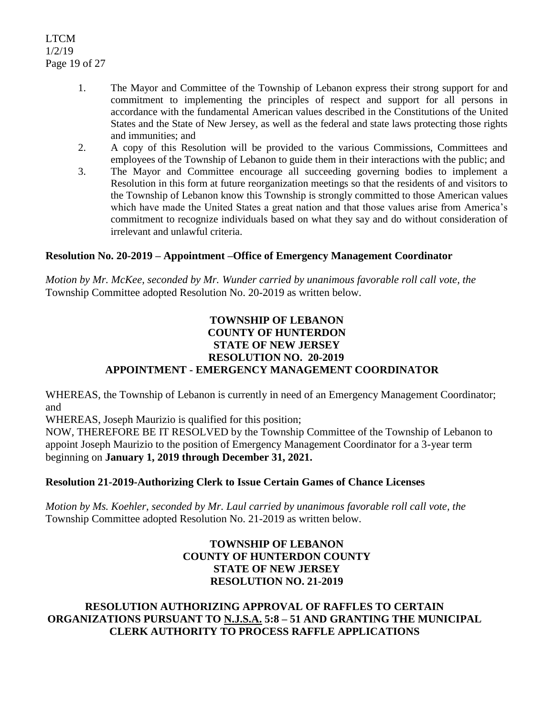LTCM 1/2/19 Page 19 of 27

- 1. The Mayor and Committee of the Township of Lebanon express their strong support for and commitment to implementing the principles of respect and support for all persons in accordance with the fundamental American values described in the Constitutions of the United States and the State of New Jersey, as well as the federal and state laws protecting those rights and immunities; and
- 2. A copy of this Resolution will be provided to the various Commissions, Committees and employees of the Township of Lebanon to guide them in their interactions with the public; and
- 3. The Mayor and Committee encourage all succeeding governing bodies to implement a Resolution in this form at future reorganization meetings so that the residents of and visitors to the Township of Lebanon know this Township is strongly committed to those American values which have made the United States a great nation and that those values arise from America's commitment to recognize individuals based on what they say and do without consideration of irrelevant and unlawful criteria.

## **Resolution No. 20-2019 – Appointment –Office of Emergency Management Coordinator**

*Motion by Mr. McKee, seconded by Mr. Wunder carried by unanimous favorable roll call vote, the* Township Committee adopted Resolution No. 20-2019 as written below.

## **TOWNSHIP OF LEBANON COUNTY OF HUNTERDON STATE OF NEW JERSEY RESOLUTION NO. 20-2019 APPOINTMENT - EMERGENCY MANAGEMENT COORDINATOR**

WHEREAS, the Township of Lebanon is currently in need of an Emergency Management Coordinator; and

WHEREAS, Joseph Maurizio is qualified for this position;

NOW, THEREFORE BE IT RESOLVED by the Township Committee of the Township of Lebanon to appoint Joseph Maurizio to the position of Emergency Management Coordinator for a 3-year term beginning on **January 1, 2019 through December 31, 2021.**

## **Resolution 21-2019-Authorizing Clerk to Issue Certain Games of Chance Licenses**

*Motion by Ms. Koehler, seconded by Mr. Laul carried by unanimous favorable roll call vote, the* Township Committee adopted Resolution No. 21-2019 as written below.

## **TOWNSHIP OF LEBANON COUNTY OF HUNTERDON COUNTY STATE OF NEW JERSEY RESOLUTION NO. 21-2019**

## **RESOLUTION AUTHORIZING APPROVAL OF RAFFLES TO CERTAIN ORGANIZATIONS PURSUANT TO N.J.S.A. 5:8 – 51 AND GRANTING THE MUNICIPAL CLERK AUTHORITY TO PROCESS RAFFLE APPLICATIONS**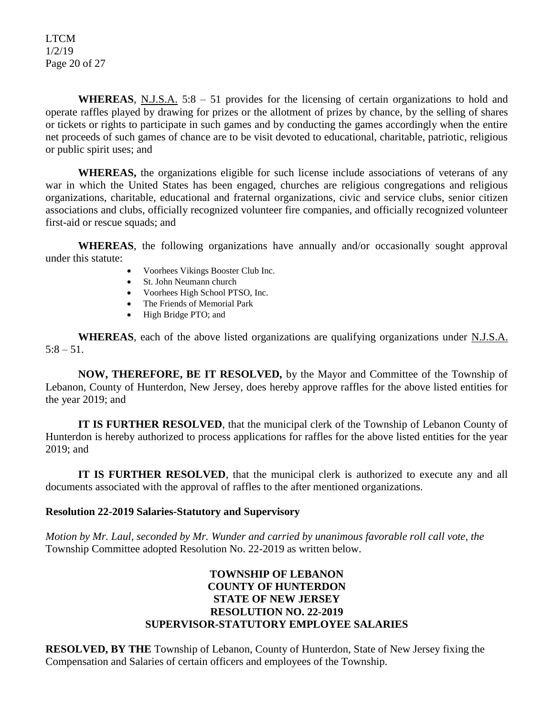LTCM 1/2/19 Page 20 of 27

WHEREAS, N.J.S.A. 5:8 – 51 provides for the licensing of certain organizations to hold and operate raffles played by drawing for prizes or the allotment of prizes by chance, by the selling of shares or tickets or rights to participate in such games and by conducting the games accordingly when the entire net proceeds of such games of chance are to be visit devoted to educational, charitable, patriotic, religious or public spirit uses; and

**WHEREAS,** the organizations eligible for such license include associations of veterans of any war in which the United States has been engaged, churches are religious congregations and religious organizations, charitable, educational and fraternal organizations, civic and service clubs, senior citizen associations and clubs, officially recognized volunteer fire companies, and officially recognized volunteer first-aid or rescue squads; and

**WHEREAS**, the following organizations have annually and/or occasionally sought approval under this statute:

- Voorhees Vikings Booster Club Inc.
- St. John Neumann church
- Voorhees High School PTSO, Inc.
- The Friends of Memorial Park
- High Bridge PTO; and

**WHEREAS**, each of the above listed organizations are qualifying organizations under N.J.S.A.  $5:8 - 51$ .

**NOW, THEREFORE, BE IT RESOLVED,** by the Mayor and Committee of the Township of Lebanon, County of Hunterdon, New Jersey, does hereby approve raffles for the above listed entities for the year 2019; and

**IT IS FURTHER RESOLVED**, that the municipal clerk of the Township of Lebanon County of Hunterdon is hereby authorized to process applications for raffles for the above listed entities for the year 2019; and

**IT IS FURTHER RESOLVED**, that the municipal clerk is authorized to execute any and all documents associated with the approval of raffles to the after mentioned organizations.

#### **Resolution 22-2019 Salaries-Statutory and Supervisory**

*Motion by Mr. Laul, seconded by Mr. Wunder and carried by unanimous favorable roll call vote, the*  Township Committee adopted Resolution No. 22-2019 as written below.

## **TOWNSHIP OF LEBANON COUNTY OF HUNTERDON STATE OF NEW JERSEY RESOLUTION NO. 22-2019 SUPERVISOR-STATUTORY EMPLOYEE SALARIES**

**RESOLVED, BY THE** Township of Lebanon, County of Hunterdon, State of New Jersey fixing the Compensation and Salaries of certain officers and employees of the Township.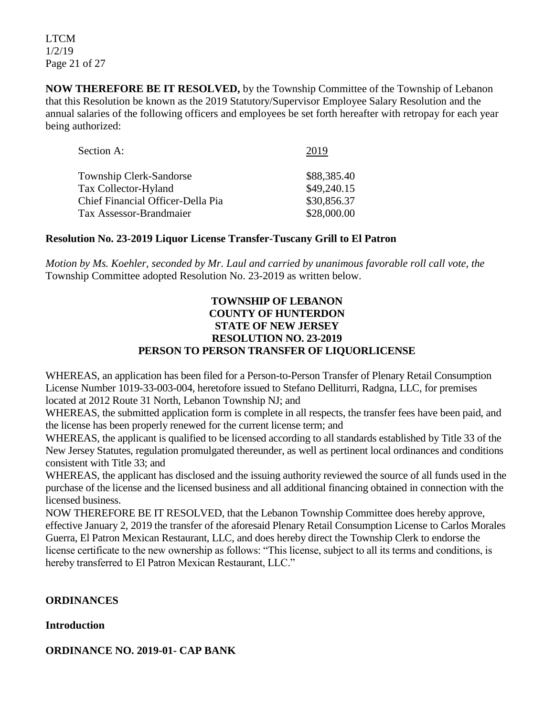LTCM 1/2/19 Page 21 of 27

**NOW THEREFORE BE IT RESOLVED,** by the Township Committee of the Township of Lebanon that this Resolution be known as the 2019 Statutory/Supervisor Employee Salary Resolution and the annual salaries of the following officers and employees be set forth hereafter with retropay for each year being authorized:

| Section A:                        | 2019        |
|-----------------------------------|-------------|
| <b>Township Clerk-Sandorse</b>    | \$88,385.40 |
| <b>Tax Collector-Hyland</b>       | \$49,240.15 |
| Chief Financial Officer-Della Pia | \$30,856.37 |
| <b>Tax Assessor-Brandmaier</b>    | \$28,000.00 |

## **Resolution No. 23-2019 Liquor License Transfer-Tuscany Grill to El Patron**

*Motion by Ms. Koehler, seconded by Mr. Laul and carried by unanimous favorable roll call vote, the* Township Committee adopted Resolution No. 23-2019 as written below.

#### **TOWNSHIP OF LEBANON COUNTY OF HUNTERDON STATE OF NEW JERSEY RESOLUTION NO. 23-2019 PERSON TO PERSON TRANSFER OF LIQUORLICENSE**

WHEREAS, an application has been filed for a Person-to-Person Transfer of Plenary Retail Consumption License Number 1019-33-003-004, heretofore issued to Stefano Delliturri, Radgna, LLC, for premises located at 2012 Route 31 North, Lebanon Township NJ; and

WHEREAS, the submitted application form is complete in all respects, the transfer fees have been paid, and the license has been properly renewed for the current license term; and

WHEREAS, the applicant is qualified to be licensed according to all standards established by Title 33 of the New Jersey Statutes, regulation promulgated thereunder, as well as pertinent local ordinances and conditions consistent with Title 33; and

WHEREAS, the applicant has disclosed and the issuing authority reviewed the source of all funds used in the purchase of the license and the licensed business and all additional financing obtained in connection with the licensed business.

NOW THEREFORE BE IT RESOLVED, that the Lebanon Township Committee does hereby approve, effective January 2, 2019 the transfer of the aforesaid Plenary Retail Consumption License to Carlos Morales Guerra, El Patron Mexican Restaurant, LLC, and does hereby direct the Township Clerk to endorse the license certificate to the new ownership as follows: "This license, subject to all its terms and conditions, is hereby transferred to El Patron Mexican Restaurant, LLC."

## **ORDINANCES**

## **Introduction**

## **ORDINANCE NO. 2019-01- CAP BANK**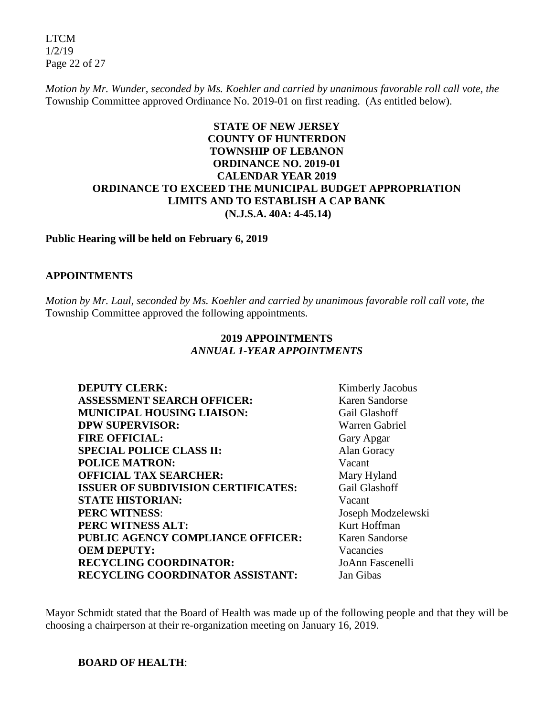LTCM 1/2/19 Page 22 of 27

*Motion by Mr. Wunder, seconded by Ms. Koehler and carried by unanimous favorable roll call vote, the* Township Committee approved Ordinance No. 2019-01 on first reading. (As entitled below).

## **STATE OF NEW JERSEY COUNTY OF HUNTERDON TOWNSHIP OF LEBANON ORDINANCE NO. 2019-01 CALENDAR YEAR 2019 ORDINANCE TO EXCEED THE MUNICIPAL BUDGET APPROPRIATION LIMITS AND TO ESTABLISH A CAP BANK (N.J.S.A. 40A: 4-45.14)**

#### **Public Hearing will be held on February 6, 2019**

#### **APPOINTMENTS**

*Motion by Mr. Laul, seconded by Ms. Koehler and carried by unanimous favorable roll call vote, the* Township Committee approved the following appointments.

## **2019 APPOINTMENTS**  *ANNUAL 1-YEAR APPOINTMENTS*

| Kimberly Jacobus      |
|-----------------------|
| Karen Sandorse        |
| Gail Glashoff         |
| <b>Warren Gabriel</b> |
| Gary Apgar            |
| Alan Goracy           |
| Vacant                |
| Mary Hyland           |
| <b>Gail Glashoff</b>  |
| Vacant                |
| Joseph Modzelewski    |
| Kurt Hoffman          |
| Karen Sandorse        |
| Vacancies             |
| JoAnn Fascenelli      |
| Jan Gibas             |
|                       |

Mayor Schmidt stated that the Board of Health was made up of the following people and that they will be choosing a chairperson at their re-organization meeting on January 16, 2019.

**BOARD OF HEALTH**: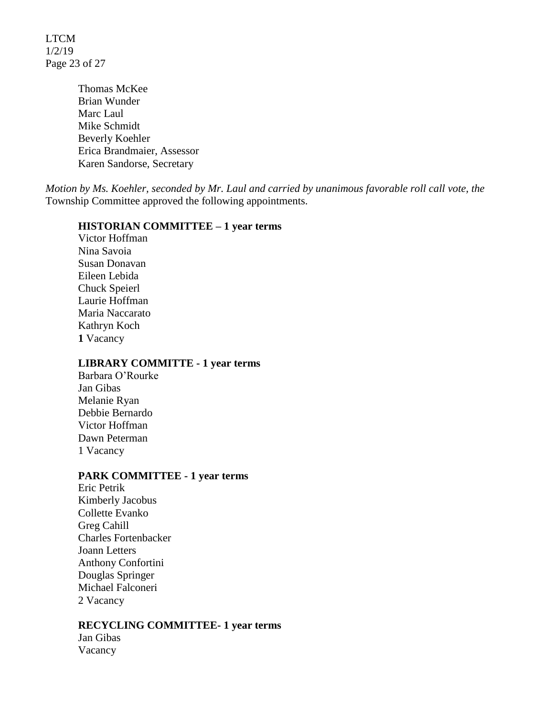LTCM 1/2/19 Page 23 of 27

> Thomas McKee Brian Wunder Marc Laul Mike Schmidt Beverly Koehler Erica Brandmaier, Assessor Karen Sandorse, Secretary

*Motion by Ms. Koehler, seconded by Mr. Laul and carried by unanimous favorable roll call vote, the* Township Committee approved the following appointments.

#### **HISTORIAN COMMITTEE – 1 year terms**

Victor Hoffman Nina Savoia Susan Donavan Eileen Lebida Chuck Speierl Laurie Hoffman Maria Naccarato Kathryn Koch **1** Vacancy

#### **LIBRARY COMMITTE - 1 year terms**

Barbara O'Rourke Jan Gibas Melanie Ryan Debbie Bernardo Victor Hoffman Dawn Peterman 1 Vacancy

#### **PARK COMMITTEE - 1 year terms**

Eric Petrik Kimberly Jacobus Collette Evanko Greg Cahill Charles Fortenbacker Joann Letters Anthony Confortini Douglas Springer Michael Falconeri 2 Vacancy

#### **RECYCLING COMMITTEE- 1 year terms**

Jan Gibas Vacancy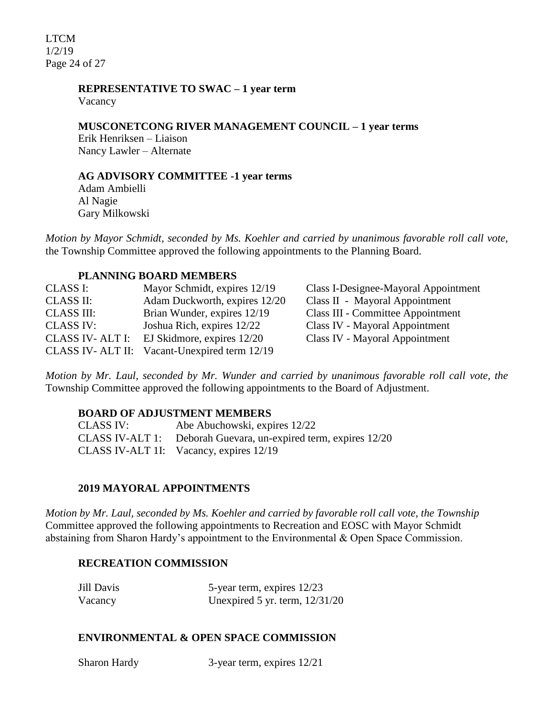LTCM 1/2/19 Page 24 of 27

## **REPRESENTATIVE TO SWAC – 1 year term**

Vacancy

## **MUSCONETCONG RIVER MANAGEMENT COUNCIL – 1 year terms**

Erik Henriksen – Liaison Nancy Lawler – Alternate

### **AG ADVISORY COMMITTEE -1 year terms**

Adam Ambielli Al Nagie Gary Milkowski

*Motion by Mayor Schmidt, seconded by Ms. Koehler and carried by unanimous favorable roll call vote,* the Township Committee approved the following appointments to the Planning Board.

## **PLANNING BOARD MEMBERS**

| CLASS I:          | Mayor Schmidt, expires 12/19                 | Class I-Designee-Mayoral Appointment     |
|-------------------|----------------------------------------------|------------------------------------------|
| <b>CLASS II:</b>  | Adam Duckworth, expires 12/20                | Class II - Mayoral Appointment           |
| <b>CLASS III:</b> | Brian Wunder, expires 12/19                  | <b>Class III - Committee Appointment</b> |
| <b>CLASS IV:</b>  | Joshua Rich, expires 12/22                   | Class IV - Mayoral Appointment           |
| CLASS IV-ALT I:   | EJ Skidmore, expires 12/20                   | Class IV - Mayoral Appointment           |
|                   | CLASS IV-ALT II: Vacant-Unexpired term 12/19 |                                          |

*Motion by Mr. Laul, seconded by Mr. Wunder and carried by unanimous favorable roll call vote, the* Township Committee approved the following appointments to the Board of Adjustment.

## **BOARD OF ADJUSTMENT MEMBERS**

CLASS IV: Abe Abuchowski, expires 12/22 CLASS IV-ALT 1: Deborah Guevara, un-expired term, expires 12/20 CLASS IV-ALT 1I: Vacancy, expires 12/19

## **2019 MAYORAL APPOINTMENTS**

*Motion by Mr. Laul, seconded by Ms. Koehler and carried by favorable roll call vote*, *the Township* Committee approved the following appointments to Recreation and EOSC with Mayor Schmidt abstaining from Sharon Hardy's appointment to the Environmental & Open Space Commission.

## **RECREATION COMMISSION**

| Jill Davis | 5-year term, expires 12/23       |
|------------|----------------------------------|
| Vacancy    | Unexpired 5 yr. term, $12/31/20$ |

#### **ENVIRONMENTAL & OPEN SPACE COMMISSION**

Sharon Hardy 3-year term, expires  $12/21$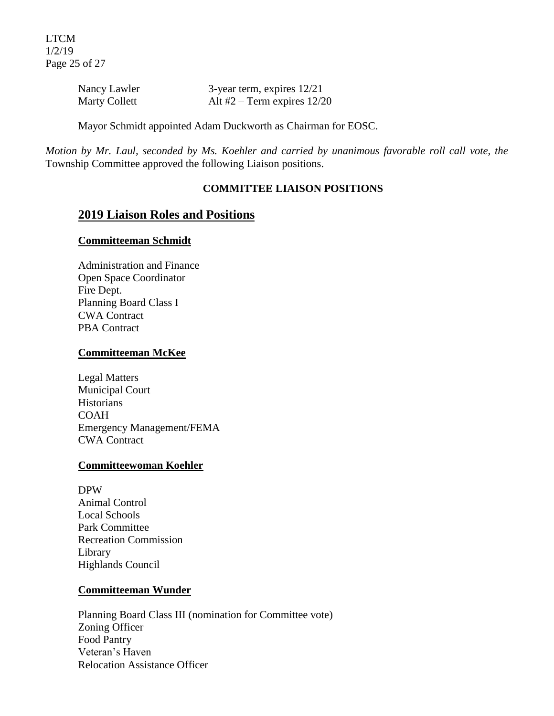LTCM 1/2/19 Page 25 of 27

| Nancy Lawler         | 3-year term, expires $12/21$  |
|----------------------|-------------------------------|
| <b>Marty Collett</b> | Alt #2 – Term expires $12/20$ |

Mayor Schmidt appointed Adam Duckworth as Chairman for EOSC.

*Motion by Mr. Laul, seconded by Ms. Koehler and carried by unanimous favorable roll call vote, the* Township Committee approved the following Liaison positions.

#### **COMMITTEE LIAISON POSITIONS**

## **2019 Liaison Roles and Positions**

#### **Committeeman Schmidt**

Administration and Finance Open Space Coordinator Fire Dept. Planning Board Class I CWA Contract PBA Contract

#### **Committeeman McKee**

Legal Matters Municipal Court **Historians** COAH Emergency Management/FEMA CWA Contract

#### **Committeewoman Koehler**

DPW Animal Control Local Schools Park Committee Recreation Commission Library Highlands Council

#### **Committeeman Wunder**

Planning Board Class III (nomination for Committee vote) Zoning Officer Food Pantry Veteran's Haven Relocation Assistance Officer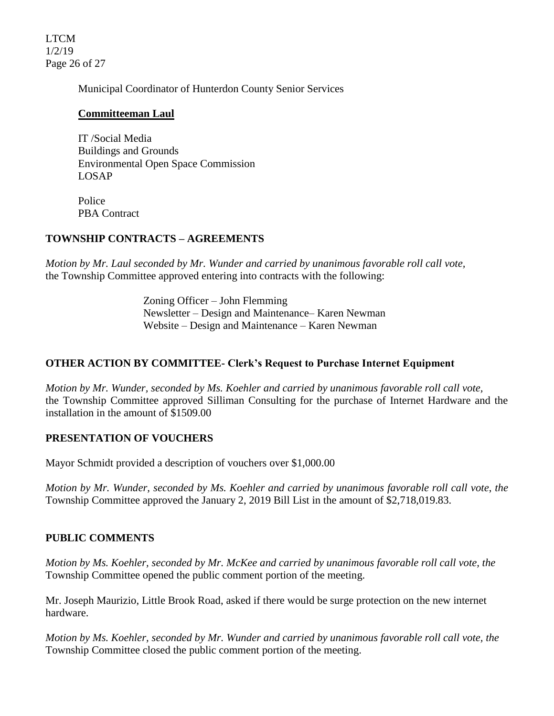LTCM 1/2/19 Page 26 of 27

Municipal Coordinator of Hunterdon County Senior Services

## **Committeeman Laul**

IT /Social Media Buildings and Grounds Environmental Open Space Commission LOSAP

Police PBA Contract

## **TOWNSHIP CONTRACTS – AGREEMENTS**

*Motion by Mr. Laul seconded by Mr. Wunder and carried by unanimous favorable roll call vote,*  the Township Committee approved entering into contracts with the following:

> Zoning Officer – John Flemming Newsletter – Design and Maintenance– Karen Newman Website – Design and Maintenance – Karen Newman

## **OTHER ACTION BY COMMITTEE- Clerk's Request to Purchase Internet Equipment**

*Motion by Mr. Wunder, seconded by Ms. Koehler and carried by unanimous favorable roll call vote,*  the Township Committee approved Silliman Consulting for the purchase of Internet Hardware and the installation in the amount of \$1509.00

## **PRESENTATION OF VOUCHERS**

Mayor Schmidt provided a description of vouchers over \$1,000.00

*Motion by Mr. Wunder, seconded by Ms. Koehler and carried by unanimous favorable roll call vote*, *the*  Township Committee approved the January 2, 2019 Bill List in the amount of \$2,718,019.83.

## **PUBLIC COMMENTS**

*Motion by Ms. Koehler, seconded by Mr. McKee and carried by unanimous favorable roll call vote, the*  Township Committee opened the public comment portion of the meeting.

Mr. Joseph Maurizio, Little Brook Road, asked if there would be surge protection on the new internet hardware.

*Motion by Ms. Koehler, seconded by Mr. Wunder and carried by unanimous favorable roll call vote, the* Township Committee closed the public comment portion of the meeting.